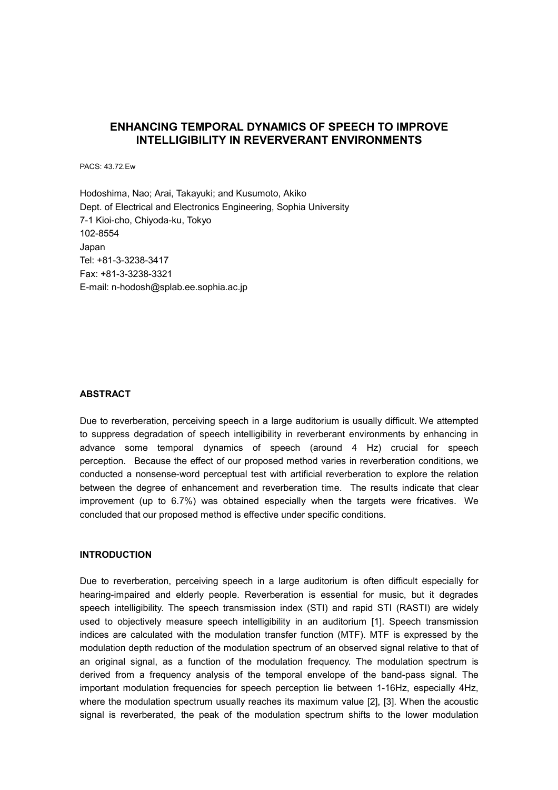# **ENHANCING TEMPORAL DYNAMICS OF SPEECH TO IMPROVE INTELLIGIBILITY IN REVERVERANT ENVIRONMENTS**

PACS: 43.72.Ew

Hodoshima, Nao; Arai, Takayuki; and Kusumoto, Akiko Dept. of Electrical and Electronics Engineering, Sophia University 7-1 Kioi-cho, Chiyoda-ku, Tokyo 102-8554 Japan Tel: +81-3-3238-3417 Fax: +81-3-3238-3321 E-mail: n-hodosh@splab.ee.sophia.ac.jp

#### **ABSTRACT**

Due to reverberation, perceiving speech in a large auditorium is usually difficult. We attempted to suppress degradation of speech intelligibility in reverberant environments by enhancing in advance some temporal dynamics of speech (around 4 Hz) crucial for speech perception. Because the effect of our proposed method varies in reverberation conditions, we conducted a nonsense-word perceptual test with artificial reverberation to explore the relation between the degree of enhancement and reverberation time. The results indicate that clear improvement (up to 6.7%) was obtained especially when the targets were fricatives. We concluded that our proposed method is effective under specific conditions.

#### **INTRODUCTION**

Due to reverberation, perceiving speech in a large auditorium is often difficult especially for hearing-impaired and elderly people. Reverberation is essential for music, but it degrades speech intelligibility. The speech transmission index (STI) and rapid STI (RASTI) are widely used to objectively measure speech intelligibility in an auditorium [1]. Speech transmission indices are calculated with the modulation transfer function (MTF). MTF is expressed by the modulation depth reduction of the modulation spectrum of an observed signal relative to that of an original signal, as a function of the modulation frequency. The modulation spectrum is derived from a frequency analysis of the temporal envelope of the band-pass signal. The important modulation frequencies for speech perception lie between 1-16Hz, especially 4Hz, where the modulation spectrum usually reaches its maximum value [2], [3]. When the acoustic signal is reverberated, the peak of the modulation spectrum shifts to the lower modulation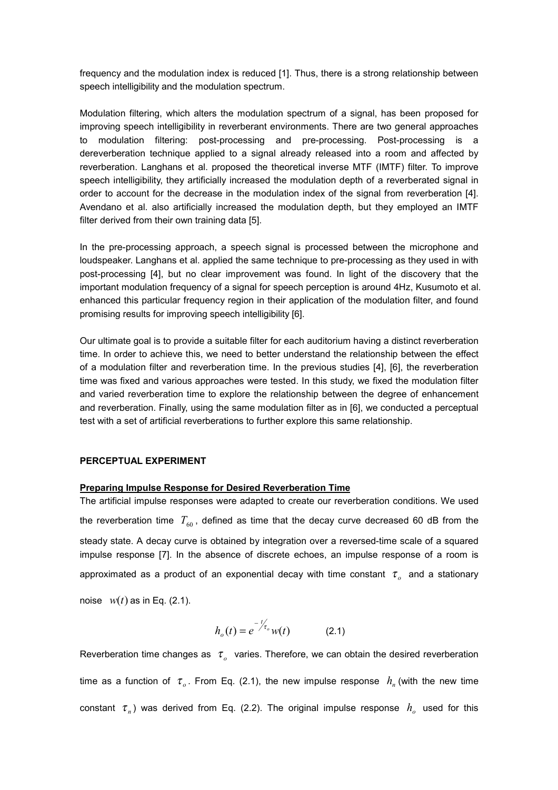frequency and the modulation index is reduced [1]. Thus, there is a strong relationship between speech intelligibility and the modulation spectrum.

Modulation filtering, which alters the modulation spectrum of a signal, has been proposed for improving speech intelligibility in reverberant environments. There are two general approaches to modulation filtering: post-processing and pre-processing. Post-processing is a dereverberation technique applied to a signal already released into a room and affected by reverberation. Langhans et al. proposed the theoretical inverse MTF (IMTF) filter. To improve speech intelligibility, they artificially increased the modulation depth of a reverberated signal in order to account for the decrease in the modulation index of the signal from reverberation [4]. Avendano et al. also artificially increased the modulation depth, but they employed an IMTF filter derived from their own training data [5].

In the pre-processing approach, a speech signal is processed between the microphone and loudspeaker. Langhans et al. applied the same technique to pre-processing as they used in with post-processing [4], but no clear improvement was found. In light of the discovery that the important modulation frequency of a signal for speech perception is around 4Hz, Kusumoto et al. enhanced this particular frequency region in their application of the modulation filter, and found promising results for improving speech intelligibility [6].

Our ultimate goal is to provide a suitable filter for each auditorium having a distinct reverberation time. In order to achieve this, we need to better understand the relationship between the effect of a modulation filter and reverberation time. In the previous studies [4], [6], the reverberation time was fixed and various approaches were tested. In this study, we fixed the modulation filter and varied reverberation time to explore the relationship between the degree of enhancement and reverberation. Finally, using the same modulation filter as in [6], we conducted a perceptual test with a set of artificial reverberations to further explore this same relationship.

#### **PERCEPTUAL EXPERIMENT**

#### **Preparing Impulse Response for Desired Reverberation Time**

The artificial impulse responses were adapted to create our reverberation conditions. We used the reverberation time  $T_{60}$ , defined as time that the decay curve decreased 60 dB from the steady state. A decay curve is obtained by integration over a reversed-time scale of a squared impulse response [7]. In the absence of discrete echoes, an impulse response of a room is approximated as a product of an exponential decay with time constant  $\tau_o$  and a stationary

noise  $w(t)$  as in Eq. (2.1).

$$
h_o(t) = e^{-\frac{t}{\tau_o}} w(t)
$$
 (2.1)

Reverberation time changes as  $\tau_a$  varies. Therefore, we can obtain the desired reverberation time as a function of  $\tau_o$ . From Eq. (2.1), the new impulse response  $h_n$  (with the new time constant  $\tau_n$ ) was derived from Eq. (2.2). The original impulse response  $h_o$  used for this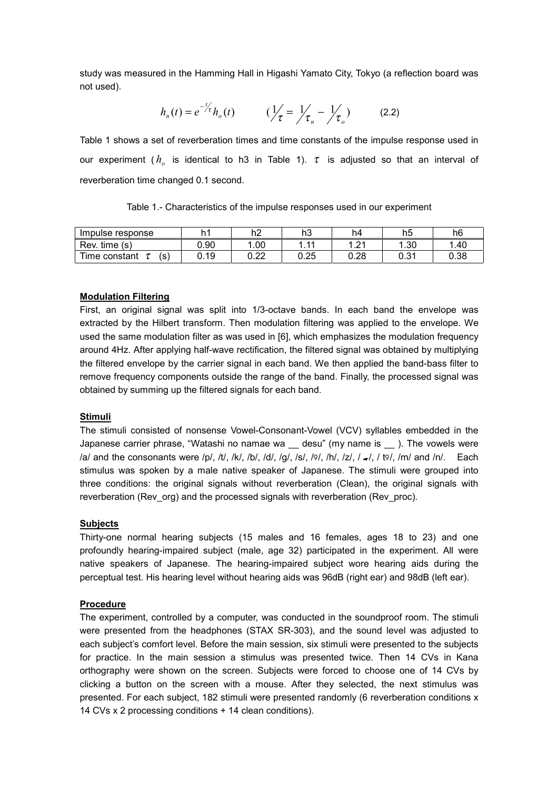study was measured in the Hamming Hall in Higashi Yamato City, Tokyo (a reflection board was not used).

$$
h_n(t) = e^{-\frac{t}{2\tau}} h_o(t) \qquad (\frac{1}{\tau}) = \frac{1}{\tau_n} - \frac{1}{\tau_o}) \qquad (2.2)
$$

Table 1 shows a set of reverberation times and time constants of the impulse response used in our experiment ( $h_a$  is identical to h3 in Table 1).  $\tau$  is adjusted so that an interval of reverberation time changed 0.1 second.

| Table 1.- Characteristics of the impulse responses used in our experiment |  |  |  |  |  |  |
|---------------------------------------------------------------------------|--|--|--|--|--|--|
|---------------------------------------------------------------------------|--|--|--|--|--|--|

| Impulse response     |      | h2           | h3   | h4        | h5          | h6   |
|----------------------|------|--------------|------|-----------|-------------|------|
| time<br>Rev.<br>(s)  | 0.90 | 0.00         | 44   | ີາ<br>$-$ | .30         | .40  |
| Time constant<br>(S) | 0.19 | ∩ ∩ח<br>◡.∠∠ | 0.25 | 0.28      | ∩ 21<br>ບ.ບ | 0.38 |

## **Modulation Filtering**

First, an original signal was split into 1/3-octave bands. In each band the envelope was extracted by the Hilbert transform. Then modulation filtering was applied to the envelope. We used the same modulation filter as was used in [6], which emphasizes the modulation frequency around 4Hz. After applying half-wave rectification, the filtered signal was obtained by multiplying the filtered envelope by the carrier signal in each band. We then applied the band-bass filter to remove frequency components outside the range of the band. Finally, the processed signal was obtained by summing up the filtered signals for each band.

### **Stimuli**

The stimuli consisted of nonsense Vowel-Consonant-Vowel (VCV) syllables embedded in the Japanese carrier phrase, "Watashi no namae wa \_\_ desu" (my name is \_\_ ). The vowels were /a/ and the consonants were /p/, /t/, /k/, /b/, /d/, /g/, /s/, /9/, /h/, /z/, / ./, / t9/, /m/ and /n/. Each stimulus was spoken by a male native speaker of Japanese. The stimuli were grouped into three conditions: the original signals without reverberation (Clean), the original signals with reverberation (Rev\_org) and the processed signals with reverberation (Rev\_proc).

### **Subjects**

Thirty-one normal hearing subjects (15 males and 16 females, ages 18 to 23) and one profoundly hearing-impaired subject (male, age 32) participated in the experiment. All were native speakers of Japanese. The hearing-impaired subject wore hearing aids during the perceptual test. His hearing level without hearing aids was 96dB (right ear) and 98dB (left ear).

### **Procedure**

The experiment, controlled by a computer, was conducted in the soundproof room. The stimuli were presented from the headphones (STAX SR-303), and the sound level was adjusted to each subject's comfort level. Before the main session, six stimuli were presented to the subjects for practice. In the main session a stimulus was presented twice. Then 14 CVs in Kana orthography were shown on the screen. Subjects were forced to choose one of 14 CVs by clicking a button on the screen with a mouse. After they selected, the next stimulus was presented. For each subject, 182 stimuli were presented randomly (6 reverberation conditions x 14 CVs x 2 processing conditions + 14 clean conditions).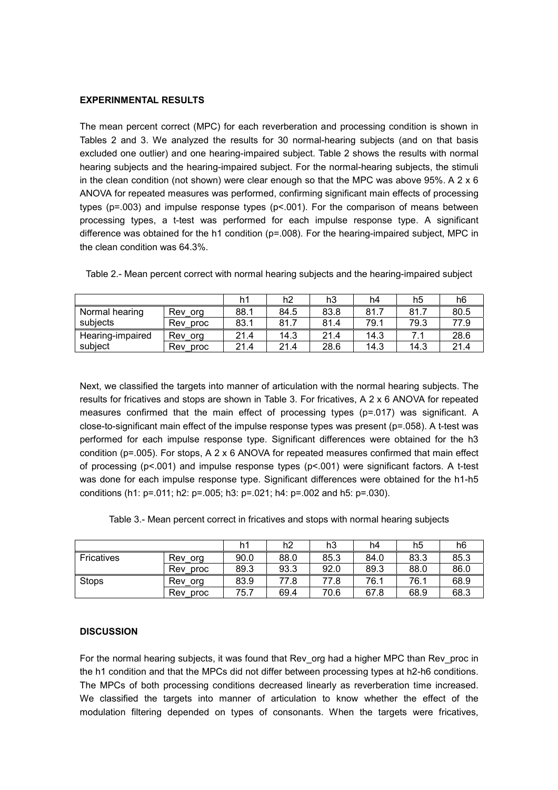#### **EXPERINMENTAL RESULTS**

The mean percent correct (MPC) for each reverberation and processing condition is shown in Tables 2 and 3. We analyzed the results for 30 normal-hearing subjects (and on that basis excluded one outlier) and one hearing-impaired subject. Table 2 shows the results with normal hearing subjects and the hearing-impaired subject. For the normal-hearing subjects, the stimuli in the clean condition (not shown) were clear enough so that the MPC was above 95%. A 2 x 6 ANOVA for repeated measures was performed, confirming significant main effects of processing types ( $p = .003$ ) and impulse response types ( $p < .001$ ). For the comparison of means between processing types, a t-test was performed for each impulse response type. A significant difference was obtained for the h1 condition (p=.008). For the hearing-impaired subject, MPC in the clean condition was 64.3%.

|                  |             | h1   | h2   | h3   | h4   | h5   | h6   |
|------------------|-------------|------|------|------|------|------|------|
| Normal hearing   | Rev org     | 88.1 | 84.5 | 83.8 | 81.7 | 81.7 | 80.5 |
| subjects         | Rev proc    | 83.1 | 81.7 | 81.4 | 79.1 | 79.3 | 77.9 |
| Hearing-impaired | Rev org     | 21.4 | 14.3 | 21.4 | 14.3 |      | 28.6 |
| subject          | Rev<br>proc | 21.4 | 21.4 | 28.6 | 14.3 | 14.3 | 21.4 |

Table 2.- Mean percent correct with normal hearing subjects and the hearing-impaired subject

Next, we classified the targets into manner of articulation with the normal hearing subjects. The results for fricatives and stops are shown in Table 3. For fricatives, A 2 x 6 ANOVA for repeated measures confirmed that the main effect of processing types (p=.017) was significant. A close-to-significant main effect of the impulse response types was present (p=.058). A t-test was performed for each impulse response type. Significant differences were obtained for the h3 condition ( $p=0.005$ ). For stops, A 2 x 6 ANOVA for repeated measures confirmed that main effect of processing ( $p$ <.001) and impulse response types ( $p$ <.001) were significant factors. A t-test was done for each impulse response type. Significant differences were obtained for the h1-h5 conditions (h1: p=.011; h2: p=.005; h3: p=.021; h4: p=.002 and h5: p=.030).

| Table 3.- Mean percent correct in fricatives and stops with normal hearing subjects |  |  |  |  |  |  |
|-------------------------------------------------------------------------------------|--|--|--|--|--|--|
|-------------------------------------------------------------------------------------|--|--|--|--|--|--|

|                   |             | h1   | h2   | h3   | h4   | h5   | h6   |
|-------------------|-------------|------|------|------|------|------|------|
| <b>Fricatives</b> | Rev_org     | 90.0 | 88.0 | 85.3 | 84.0 | 83.3 | 85.3 |
|                   | Rev<br>proc | 89.3 | 93.3 | 92.0 | 89.3 | 88.0 | 86.0 |
| <b>Stops</b>      | Rev<br>org  | 83.9 | 77.8 | 77.8 | 76.1 | 76.1 | 68.9 |
|                   | Rev<br>proc | 75.7 | 69.4 | 70.6 | 67.8 | 68.9 | 68.3 |

### **DISCUSSION**

For the normal hearing subjects, it was found that Rev org had a higher MPC than Rev proc in the h1 condition and that the MPCs did not differ between processing types at h2-h6 conditions. The MPCs of both processing conditions decreased linearly as reverberation time increased. We classified the targets into manner of articulation to know whether the effect of the modulation filtering depended on types of consonants. When the targets were fricatives,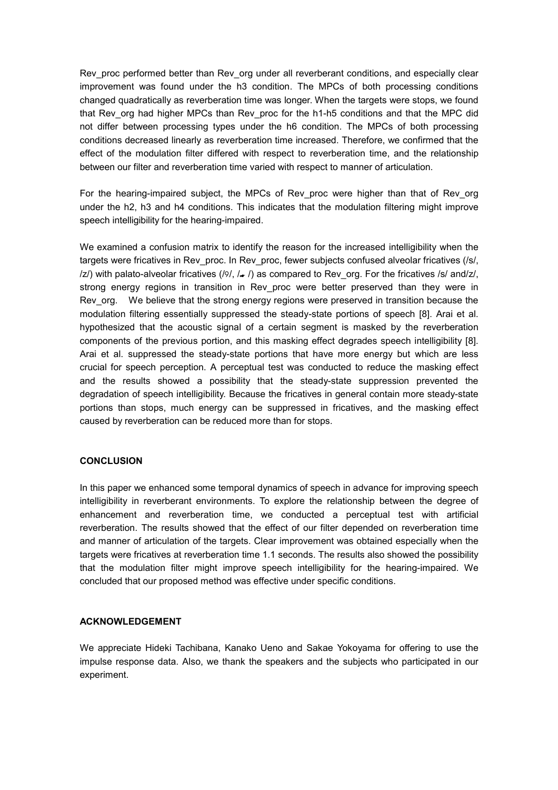Rev\_proc performed better than Rev\_org under all reverberant conditions, and especially clear improvement was found under the h3 condition. The MPCs of both processing conditions changed quadratically as reverberation time was longer. When the targets were stops, we found that Rev org had higher MPCs than Rev proc for the h1-h5 conditions and that the MPC did not differ between processing types under the h6 condition. The MPCs of both processing conditions decreased linearly as reverberation time increased. Therefore, we confirmed that the effect of the modulation filter differed with respect to reverberation time, and the relationship between our filter and reverberation time varied with respect to manner of articulation.

For the hearing-impaired subject, the MPCs of Rev proc were higher than that of Rev org under the h2, h3 and h4 conditions. This indicates that the modulation filtering might improve speech intelligibility for the hearing-impaired.

We examined a confusion matrix to identify the reason for the increased intelligibility when the targets were fricatives in Rev\_proc. In Rev\_proc, fewer subjects confused alveolar fricatives (/s/,  $\langle z \rangle$  with palato-alveolar fricatives  $\langle \frac{\partial f}{\partial x} \rangle$  as compared to Rev\_org. For the fricatives /s/ and/z/, strong energy regions in transition in Rev proc were better preserved than they were in Rev org. We believe that the strong energy regions were preserved in transition because the modulation filtering essentially suppressed the steady-state portions of speech [8]. Arai et al. hypothesized that the acoustic signal of a certain segment is masked by the reverberation components of the previous portion, and this masking effect degrades speech intelligibility [8]. Arai et al. suppressed the steady-state portions that have more energy but which are less crucial for speech perception. A perceptual test was conducted to reduce the masking effect and the results showed a possibility that the steady-state suppression prevented the degradation of speech intelligibility. Because the fricatives in general contain more steady-state portions than stops, much energy can be suppressed in fricatives, and the masking effect caused by reverberation can be reduced more than for stops.

### **CONCLUSION**

In this paper we enhanced some temporal dynamics of speech in advance for improving speech intelligibility in reverberant environments. To explore the relationship between the degree of enhancement and reverberation time, we conducted a perceptual test with artificial reverberation. The results showed that the effect of our filter depended on reverberation time and manner of articulation of the targets. Clear improvement was obtained especially when the targets were fricatives at reverberation time 1.1 seconds. The results also showed the possibility that the modulation filter might improve speech intelligibility for the hearing-impaired. We concluded that our proposed method was effective under specific conditions.

### **ACKNOWLEDGEMENT**

We appreciate Hideki Tachibana, Kanako Ueno and Sakae Yokoyama for offering to use the impulse response data. Also, we thank the speakers and the subjects who participated in our experiment.